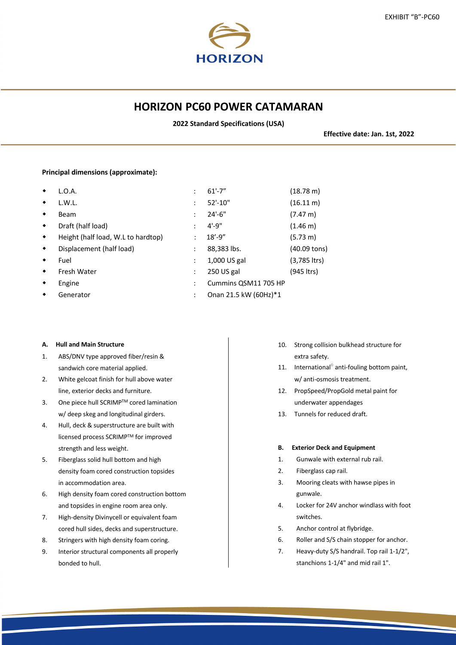# **HORIZON PC60 POWER CATAMARAN**

**2022 Standard Specifications (USA)**

**Effective date: Jan. 1st, 2022**

# **Principal dimensions (approximate):**

| ٠               | L.O.A.                             |                | $61' - 7''$           | $(18.78 \text{ m})$ |
|-----------------|------------------------------------|----------------|-----------------------|---------------------|
| $\blacklozenge$ | L.W.L.                             | ÷              | 52'-10"               | $(16.11 \text{ m})$ |
| $\blacklozenge$ | Beam                               | ÷              | $24'-6''$             | $(7.47 \text{ m})$  |
| $\bullet$       | Draft (half load)                  | ÷              | $4' - 9''$            | $(1.46 \text{ m})$  |
| $\bullet$       | Height (half load, W.L to hardtop) | ÷              | $18' - 9''$           | (5.73 m)            |
| $\bullet$       | Displacement (half load)           | ÷              | 88,383 lbs.           | (40.09 tons)        |
| ٠               | Fuel                               | ÷              | 1,000 US gal          | $(3,785$ ltrs)      |
| $\bullet$       | Fresh Water                        | ÷              | 250 US gal            | (945 ltrs)          |
| ٠               | Engine                             | $\ddot{\cdot}$ | Cummins QSM11 705 HP  |                     |
|                 | Generator                          |                | Onan 21.5 kW (60Hz)*1 |                     |
|                 |                                    |                |                       |                     |

### **A. Hull and Main Structure**

- 1. ABS/DNV type approved fiber/resin & sandwich core material applied.
- 2. White gelcoat finish for hull above water line, exterior decks and furniture.
- 3. One piece hull SCRIMP™ cored lamination w/ deep skeg and longitudinal girders.
- 4. Hull, deck & superstructure are built with licensed process SCRIMPTM for improved strength and less weight.
- 5. Fiberglass solid hull bottom and high density foam cored construction topsides in accommodation area.
- 6. High density foam cored construction bottom and topsides in engine room area only.
- 7. High-density Divinycell or equivalent foam cored hull sides, decks and superstructure.
- 8. Stringers with high density foam coring.
- 9. Interior structural components all properly bonded to hull.
- 10. Strong collision bulkhead structure for extra safety.
- 11. International<sup>®</sup> anti-fouling bottom paint, w/ anti-osmosis treatment.
- 12. PropSpeed/PropGold metal paint for underwater appendages
- 13. Tunnels for reduced draft.

# **B. Exterior Deck and Equipment**

- 1. Gunwale with external rub rail.
- 2. Fiberglass cap rail.
- 3. Mooring cleats with hawse pipes in gunwale.
- 4. Locker for 24V anchor windlass with foot switches.
- 5. Anchor control at flybridge.
- 6. Roller and S/S chain stopper for anchor.
- 7. Heavy-duty S/S handrail. Top rail 1-1/2", stanchions 1-1/4" and mid rail 1".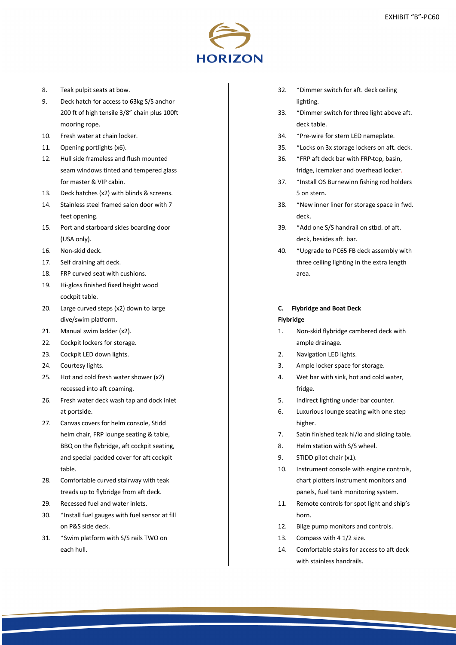

- 8. Teak pulpit seats at bow.
- 9. Deck hatch for access to 63kg S/S anchor 200 ft of high tensile 3/8" chain plus 100ft mooring rope.
- 10. Fresh water at chain locker.
- 11. Opening portlights (x6).
- 12. Hull side frameless and flush mounted seam windows tinted and tempered glass for master & VIP cabin.
- 13. Deck hatches (x2) with blinds & screens.
- 14. Stainless steel framed salon door with 7 feet opening.
- 15. Port and starboard sides boarding door (USA only).
- 16. Non-skid deck.
- 17. Self draining aft deck.
- 18. FRP curved seat with cushions.
- 19. Hi-gloss finished fixed height wood cockpit table.
- 20. Large curved steps (x2) down to large dive/swim platform.
- 21. Manual swim ladder (x2).
- 22. Cockpit lockers for storage.
- 23. Cockpit LED down lights.
- 24. Courtesy lights.
- 25. Hot and cold fresh water shower (x2) recessed into aft coaming.
- 26. Fresh water deck wash tap and dock inlet at portside.
- 27. Canvas covers for helm console, Stidd helm chair, FRP lounge seating & table, BBQ on the flybridge, aft cockpit seating, and special padded cover for aft cockpit table.
- 28. Comfortable curved stairway with teak treads up to flybridge from aft deck.
- 29. Recessed fuel and water inlets.
- 30. \*Install fuel gauges with fuel sensor at fill on P&S side deck.
- 31. \*Swim platform with S/S rails TWO on each hull.
- 32. \*Dimmer switch for aft. deck ceiling lighting.
- 33. \*Dimmer switch for three light above aft. deck table.
- 34. \*Pre-wire for stern LED nameplate.
- 35. \*Locks on 3x storage lockers on aft. deck.
- 36. \*FRP aft deck bar with FRP top, basin, fridge, icemaker and overhead locker.
- 37. \*Install OS Burnewinn fishing rod holders 5 on stern.
- 38. \*New inner liner for storage space in fwd. deck.
- 39. \*Add one S/S handrail on stbd. of aft. deck, besides aft. bar.
- 40. \*Upgrade to PC65 FB deck assembly with three ceiling lighting in the extra length area.

# **C. Flybridge and Boat Deck**

#### **Flybridge**

- 1. Non-skid flybridge cambered deck with ample drainage.
- 2. Navigation LED lights.
- 3. Ample locker space for storage.
- 4. Wet bar with sink, hot and cold water, fridge.
- 5. Indirect lighting under bar counter.
- 6. Luxurious lounge seating with one step higher.
- 7. Satin finished teak hi/lo and sliding table.
- 8. Helm station with S/S wheel.
- 9. STIDD pilot chair (x1).
- 10. Instrument console with engine controls, chart plotters instrument monitors and panels, fuel tank monitoring system.
- 11. Remote controls for spot light and ship's horn.
- 12. Bilge pump monitors and controls.
- 13. Compass with 4 1/2 size.
- 14. Comfortable stairs for access to aft deck with stainless handrails.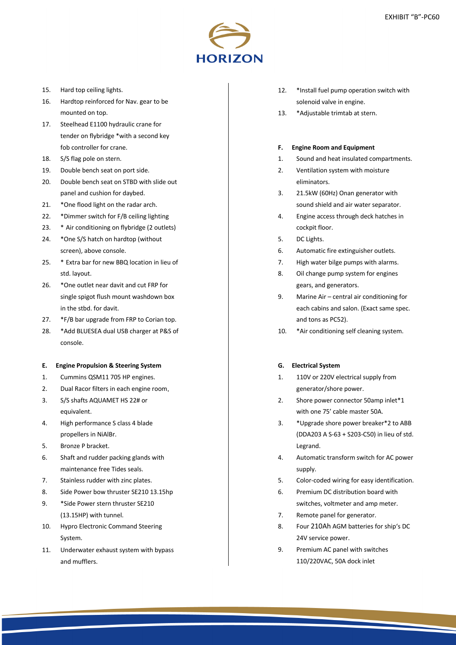

- 15. Hard top ceiling lights.
- 16. Hardtop reinforced for Nav. gear to be mounted on top.
- 17. Steelhead E1100 hydraulic crane for tender on flybridge \*with a second key fob controller for crane.
- 18. S/S flag pole on stern.
- 19. Double bench seat on port side.
- 20. Double bench seat on STBD with slide out panel and cushion for daybed.
- 21. \*One flood light on the radar arch.
- 22. \*Dimmer switch for F/B ceiling lighting
- 23. \* Air conditioning on flybridge (2 outlets)
- 24. \*One S/S hatch on hardtop (without screen), above console.
- 25. \* Extra bar for new BBQ location in lieu of std. layout.
- 26. \*One outlet near davit and cut FRP for single spigot flush mount washdown box in the stbd. for davit.
- 27. \*F/B bar upgrade from FRP to Corian top.
- 28. \*Add BLUESEA dual USB charger at P&S of console.

#### **E. Engine Propulsion & Steering System**

- 1. Cummins QSM11 705 HP engines.
- 2. Dual Racor filters in each engine room.
- 3. S/S shafts AQUAMET HS 22# or equivalent.
- 4. High performance S class 4 blade propellers in NiAlBr.
- 5. Bronze P bracket.
- 6. Shaft and rudder packing glands with maintenance free Tides seals.
- 7. Stainless rudder with zinc plates.
- 8. Side Power bow thruster SE210 13.15hp
- 9. \*Side Power stern thruster SE210 (13.15HP) with tunnel.
- 10. Hypro Electronic Command Steering System.
- 11. Underwater exhaust system with bypass and mufflers.
- 12. \*Install fuel pump operation switch with solenoid valve in engine.
- 13. \*Adjustable trimtab at stern.

#### **F. Engine Room and Equipment**

- 1. Sound and heat insulated compartments.
- 2. Ventilation system with moisture eliminators.
- 3. 21.5kW (60Hz) Onan generator with sound shield and air water separator.
- 4. Engine access through deck hatches in cockpit floor.
- 5. DC Lights.
- 6. Automatic fire extinguisher outlets.
- 7. High water bilge pumps with alarms.
- 8. Oil change pump system for engines gears, and generators.
- 9. Marine Air central air conditioning for each cabins and salon. (Exact same spec. and tons as PC52).
- 10. \*Air conditioning self cleaning system.

### **G. Electrical System**

- 1. 110V or 220V electrical supply from generator/shore power.
- 2. Shore power connector 50amp inlet\*1 with one 75' cable master 50A.
- 3. \*Upgrade shore power breaker\*2 to ABB (DDA203 A S-63 + S203-C50) in lieu of std. Legrand.
- 4. Automatic transform switch for AC power supply.
- 5. Color-coded wiring for easy identification.
- 6. Premium DC distribution board with switches, voltmeter and amp meter.
- 7. Remote panel for generator.
- 8. Four 210Ah AGM batteries for ship's DC 24V service power.
- 9. Premium AC panel with switches 110/220VAC, 50A dock inlet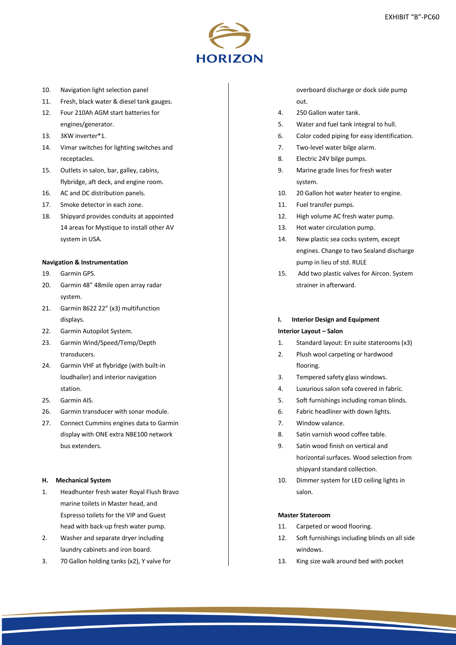

- 10. Navigation light selection panel
- 11. Fresh, black water & diesel tank gauges.
- 12. Four 210Ah AGM start batteries for engines/generator.
- 13. 3KW inverter\*1.
- 14. Vimar switches for lighting switches and receptacles.
- 15. Outlets in salon, bar, galley, cabins, flybridge, aft deck, and engine room.
- 16. AC and DC distribution panels.
- 17. Smoke detector in each zone.
- 18. Shipyard provides conduits at appointed 14 areas for Mystique to install other AV system in USA.

#### **Navigation & Instrumentation**

- 19. Garmin GPS.
- 20. Garmin 48" 48mile open array radar system.
- 21. Garmin 8622 22" (x3) multifunction displays.
- 22. Garmin Autopilot System.
- 23. Garmin Wind/Speed/Temp/Depth transducers.
- 24. Garmin VHF at flybridge (with built-in loudhailer) and interior navigation station.
- 25. Garmin AIS.
- 26. Garmin transducer with sonar module.
- 27. Connect Cummins engines data to Garmin display with ONE extra NBE100 network bus extenders.

#### **H. Mechanical System**

- 1. Headhunter fresh water Royal Flush Bravo marine toilets in Master head, and Espresso toilets for the VIP and Guest head with back-up fresh water pump.
- 2. Washer and separate dryer including laundry cabinets and iron board.
- 3. 70 Gallon holding tanks (x2), Y valve for

overboard discharge or dock side pump out.

- 4. 250 Gallon water tank.
- 5. Water and fuel tank integral to hull.
- 6. Color coded piping for easy identification.
- 7. Two-level water bilge alarm.
- 8. Electric 24V bilge pumps.
- 9. Marine grade lines for fresh water system.
- 10. 20 Gallon hot water heater to engine.
- 11. Fuel transfer pumps.
- 12. High volume AC fresh water pump.
- 13. Hot water circulation pump.
- 14. New plastic sea cocks system, except engines. Change to two Sealand discharge pump in lieu of std. RULE
- 15. Add two plastic valves for Aircon. System strainer in afterward.

# **I. Interior Design and Equipment**

# **Interior Layout – Salon**

- 1. Standard layout: En suite staterooms (x3)
- 2. Plush wool carpeting or hardwood flooring.
- 3. Tempered safety glass windows.
- 4. Luxurious salon sofa covered in fabric.
- 5. Soft furnishings including roman blinds.
- 6. Fabric headliner with down lights.
- 7. Window valance.
- 8. Satin varnish wood coffee table.
- 9. Satin wood finish on vertical and horizontal surfaces. Wood selection from shipyard standard collection.
- 10. Dimmer system for LED ceiling lights in salon.

### **Master Stateroom**

- 11. Carpeted or wood flooring.
- 12. Soft furnishings including blinds on all side windows.
- 13. King size walk around bed with pocket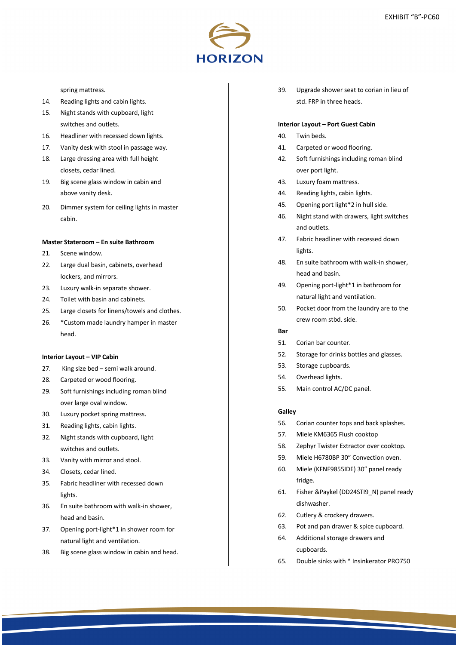

# spring mattress.

- 14. Reading lights and cabin lights.
- 15. Night stands with cupboard, light switches and outlets.
- 16. Headliner with recessed down lights.
- 17. Vanity desk with stool in passage way.
- 18. Large dressing area with full height closets, cedar lined.
- 19. Big scene glass window in cabin and above vanity desk.
- 20. Dimmer system for ceiling lights in master cabin.

# **Master Stateroom – En suite Bathroom**

- 21. Scene window.
- 22. Large dual basin, cabinets, overhead lockers, and mirrors.
- 23. Luxury walk-in separate shower.
- 24. Toilet with basin and cabinets.
- 25. Large closets for linens/towels and clothes.
- 26. \*Custom made laundry hamper in master head.

### **Interior Layout – VIP Cabin**

- 27. King size bed semi walk around.
- 28. Carpeted or wood flooring.
- 29. Soft furnishings including roman blind over large oval window.
- 30. Luxury pocket spring mattress.
- 31. Reading lights, cabin lights.
- 32. Night stands with cupboard, light switches and outlets.
- 33. Vanity with mirror and stool.
- 34. Closets, cedar lined.
- 35. Fabric headliner with recessed down lights.
- 36. En suite bathroom with walk-in shower, head and basin.
- 37. Opening port-light\*1 in shower room for natural light and ventilation.
- 38. Big scene glass window in cabin and head.

39. Upgrade shower seat to corian in lieu of std. FRP in three heads.

#### **Interior Layout – Port Guest Cabin**

- 40. Twin beds.
- 41. Carpeted or wood flooring.
- 42. Soft furnishings including roman blind over port light.
- 43. Luxury foam mattress.
- 44. Reading lights, cabin lights.
- 45. Opening port light\*2 in hull side.
- 46. Night stand with drawers, light switches and outlets.
- 47. Fabric headliner with recessed down lights.
- 48. En suite bathroom with walk-in shower, head and basin.
- 49. Opening port-light\*1 in bathroom for natural light and ventilation.
- 50. Pocket door from the laundry are to the crew room stbd. side.
- **Bar**
- 51. Corian bar counter.
- 52. Storage for drinks bottles and glasses.
- 53. Storage cupboards.
- 54. Overhead lights.
- 55. Main control AC/DC panel.

#### **Galley**

- 56. Corian counter tops and back splashes.
- 57. Miele KM6365 Flush cooktop
- 58. Zephyr Twister Extractor over cooktop.
- 59. Miele H6780BP 30" Convection oven.
- 60. Miele (KFNF9855IDE) 30" panel ready fridge.
- 61. Fisher &Paykel (DD24STI9\_N) panel ready dishwasher.
- 62. Cutlery & crockery drawers.
- 63. Pot and pan drawer & spice cupboard.
- 64. Additional storage drawers and cupboards.
- 65. Double sinks with \* Insinkerator PRO750